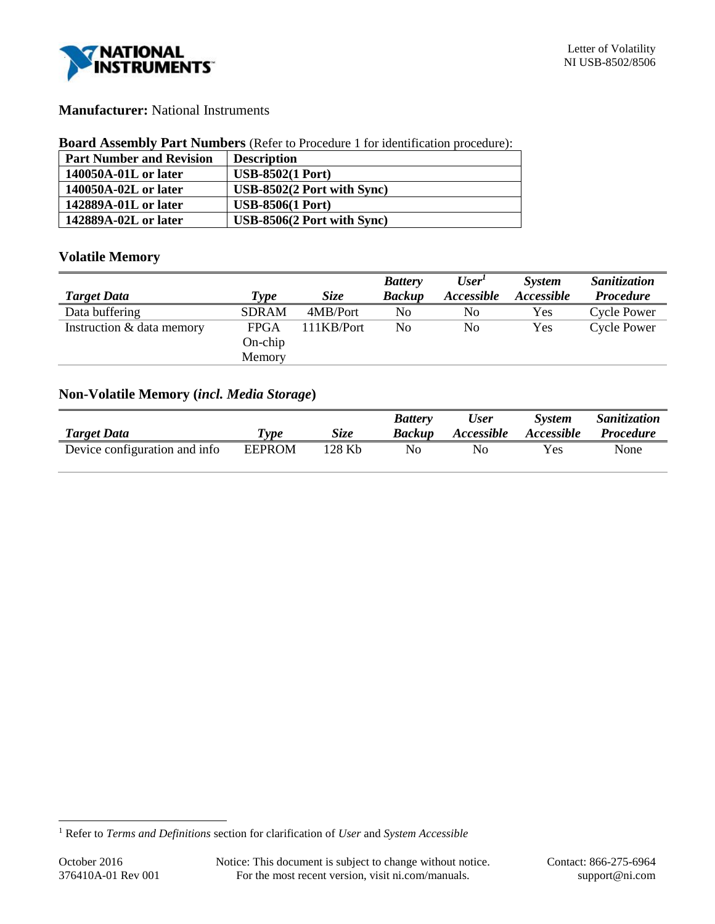

# **Manufacturer:** National Instruments

#### **Board Assembly Part Numbers** (Refer to Procedure 1 for identification procedure):

| <b>Part Number and Revision</b> | <b>Description</b>                  |
|---------------------------------|-------------------------------------|
| 140050A-01L or later            | <b>USB-8502(1 Port)</b>             |
| 140050A-02L or later            | $\text{USB-8502}(2$ Port with Sync) |
| 142889A-01L or later            | <b>USB-8506(1 Port)</b>             |
| 142889A-02L or later            | USB-8506(2 Port with Sync)          |

# **Volatile Memory**

|                           |              |             | <b>Battery</b> | User'          | System            | Sanitization       |
|---------------------------|--------------|-------------|----------------|----------------|-------------------|--------------------|
| <b>Target Data</b>        | Type         | <b>Size</b> | <b>Backup</b>  | Accessible     | <b>Accessible</b> | <b>Procedure</b>   |
| Data buffering            | <b>SDRAM</b> | 4MB/Port    | No             | N <sub>0</sub> | Yes               | <b>Cycle Power</b> |
| Instruction & data memory | FPGA         | 111KB/Port  | No             | No             | Yes               | <b>Cycle Power</b> |
|                           | $On$ -chip   |             |                |                |                   |                    |
|                           | Memory       |             |                |                |                   |                    |

# **Non-Volatile Memory (***incl. Media Storage***)**

| <b>Target Data</b>            | $\boldsymbol{r_{vpe}}$ | Size   | <b>Battery</b><br><b>Backup</b> | User<br><b>Accessible</b> | <b>System</b><br><i>Accessible</i> | <i>Sanitization</i><br><i>Procedure</i> |
|-------------------------------|------------------------|--------|---------------------------------|---------------------------|------------------------------------|-----------------------------------------|
|                               |                        |        |                                 |                           |                                    |                                         |
| Device configuration and info | <b>EEPROM</b>          | 128 Kb | No                              | No                        | Yes                                | None                                    |

l

<sup>1</sup> Refer to *Terms and Definitions* section for clarification of *User* and *System Accessible*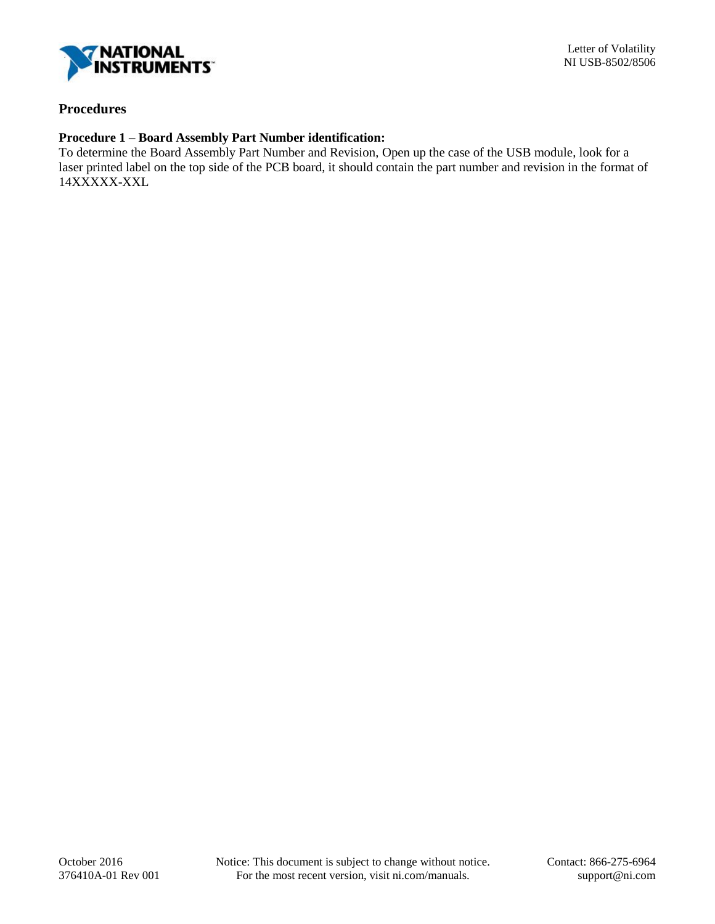

# **Procedures**

# **Procedure 1 – Board Assembly Part Number identification:**

To determine the Board Assembly Part Number and Revision, Open up the case of the USB module, look for a laser printed label on the top side of the PCB board, it should contain the part number and revision in the format of 14XXXXX-XXL